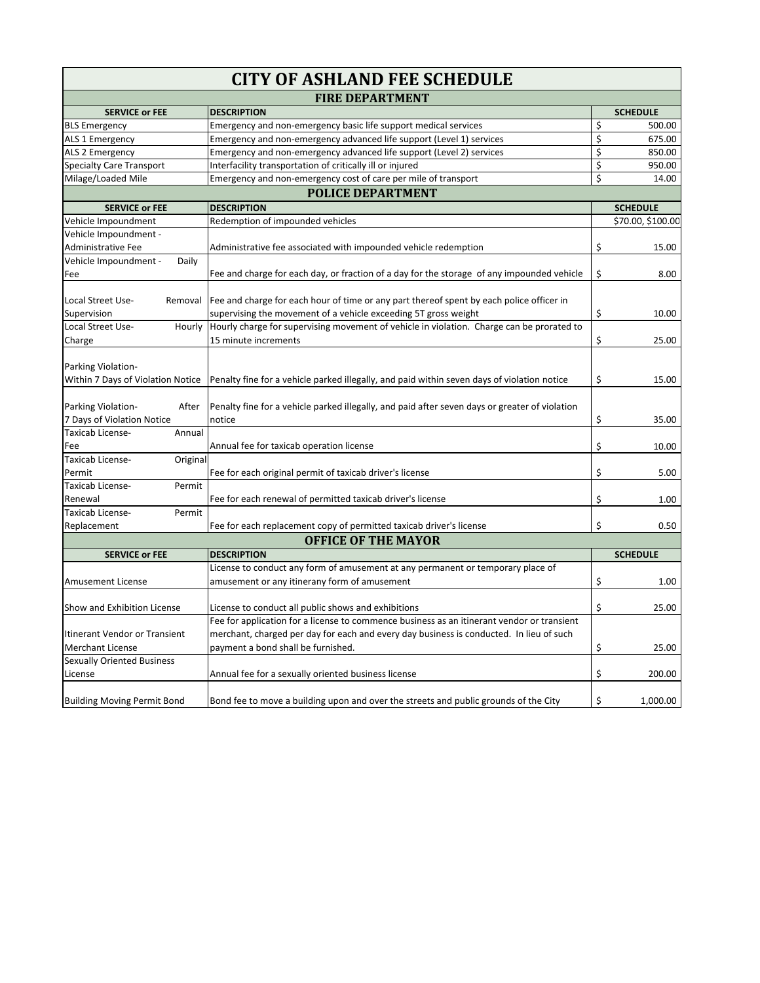| <b>CITY OF ASHLAND FEE SCHEDULE</b> |                                                                                                                                 |    |                   |  |
|-------------------------------------|---------------------------------------------------------------------------------------------------------------------------------|----|-------------------|--|
| <b>FIRE DEPARTMENT</b>              |                                                                                                                                 |    |                   |  |
| <b>SERVICE or FEE</b>               | <b>DESCRIPTION</b>                                                                                                              |    | <b>SCHEDULE</b>   |  |
| <b>BLS Emergency</b>                | Emergency and non-emergency basic life support medical services                                                                 | \$ | 500.00            |  |
| ALS 1 Emergency                     | Emergency and non-emergency advanced life support (Level 1) services                                                            | \$ | 675.00            |  |
| ALS 2 Emergency                     | Emergency and non-emergency advanced life support (Level 2) services                                                            | \$ | 850.00            |  |
| Specialty Care Transport            | Interfacility transportation of critically ill or injured                                                                       | Ś  | 950.00            |  |
| Milage/Loaded Mile                  | Emergency and non-emergency cost of care per mile of transport                                                                  | Ś  | 14.00             |  |
|                                     | <b>POLICE DEPARTMENT</b>                                                                                                        |    |                   |  |
| <b>SERVICE or FEE</b>               | <b>DESCRIPTION</b>                                                                                                              |    | <b>SCHEDULE</b>   |  |
| Vehicle Impoundment                 | Redemption of impounded vehicles                                                                                                |    | \$70.00, \$100.00 |  |
| Vehicle Impoundment -               |                                                                                                                                 |    |                   |  |
| Administrative Fee                  | Administrative fee associated with impounded vehicle redemption                                                                 | \$ | 15.00             |  |
| Vehicle Impoundment -<br>Daily      |                                                                                                                                 |    |                   |  |
| Fee                                 | Fee and charge for each day, or fraction of a day for the storage of any impounded vehicle                                      | \$ | 8.00              |  |
|                                     |                                                                                                                                 |    |                   |  |
| Local Street Use-<br>Removal        | Fee and charge for each hour of time or any part thereof spent by each police officer in                                        |    |                   |  |
| Supervision                         | supervising the movement of a vehicle exceeding 5T gross weight                                                                 | \$ | 10.00             |  |
| Local Street Use-<br>Hourly         | Hourly charge for supervising movement of vehicle in violation. Charge can be prorated to                                       |    |                   |  |
| Charge                              | 15 minute increments                                                                                                            | \$ | 25.00             |  |
|                                     |                                                                                                                                 |    |                   |  |
| Parking Violation-                  |                                                                                                                                 |    |                   |  |
|                                     | Within 7 Days of Violation Notice   Penalty fine for a vehicle parked illegally, and paid within seven days of violation notice | \$ | 15.00             |  |
|                                     |                                                                                                                                 |    |                   |  |
| Parking Violation-<br>After         | Penalty fine for a vehicle parked illegally, and paid after seven days or greater of violation                                  |    |                   |  |
| 7 Days of Violation Notice          | notice                                                                                                                          | \$ | 35.00             |  |
| Taxicab License-<br>Annual          |                                                                                                                                 |    |                   |  |
| Fee                                 | Annual fee for taxicab operation license                                                                                        | \$ | 10.00             |  |
| Taxicab License-<br>Original        |                                                                                                                                 |    |                   |  |
| Permit                              | Fee for each original permit of taxicab driver's license                                                                        | \$ | 5.00              |  |
| Taxicab License-<br>Permit          |                                                                                                                                 |    |                   |  |
| Renewal                             | Fee for each renewal of permitted taxicab driver's license                                                                      | \$ | 1.00              |  |
| Taxicab License-<br>Permit          |                                                                                                                                 |    |                   |  |
| Replacement                         | Fee for each replacement copy of permitted taxicab driver's license                                                             | Ś  | 0.50              |  |
|                                     | <b>OFFICE OF THE MAYOR</b>                                                                                                      |    |                   |  |
| <b>SERVICE or FEE</b>               | <b>DESCRIPTION</b>                                                                                                              |    | <b>SCHEDULE</b>   |  |
|                                     | License to conduct any form of amusement at any permanent or temporary place of                                                 |    |                   |  |
| Amusement License                   | amusement or any itinerany form of amusement                                                                                    | \$ | 1.00              |  |
|                                     |                                                                                                                                 |    |                   |  |
| Show and Exhibition License         | License to conduct all public shows and exhibitions                                                                             | \$ | 25.00             |  |
|                                     | Fee for application for a license to commence business as an itinerant vendor or transient                                      |    |                   |  |
| Itinerant Vendor or Transient       | merchant, charged per day for each and every day business is conducted. In lieu of such                                         |    |                   |  |
| <b>Merchant License</b>             | payment a bond shall be furnished.                                                                                              | \$ | 25.00             |  |
| <b>Sexually Oriented Business</b>   |                                                                                                                                 |    |                   |  |
| License                             | Annual fee for a sexually oriented business license                                                                             | \$ |                   |  |
|                                     |                                                                                                                                 |    | 200.00            |  |
|                                     |                                                                                                                                 |    |                   |  |
| <b>Building Moving Permit Bond</b>  | Bond fee to move a building upon and over the streets and public grounds of the City                                            | \$ | 1,000.00          |  |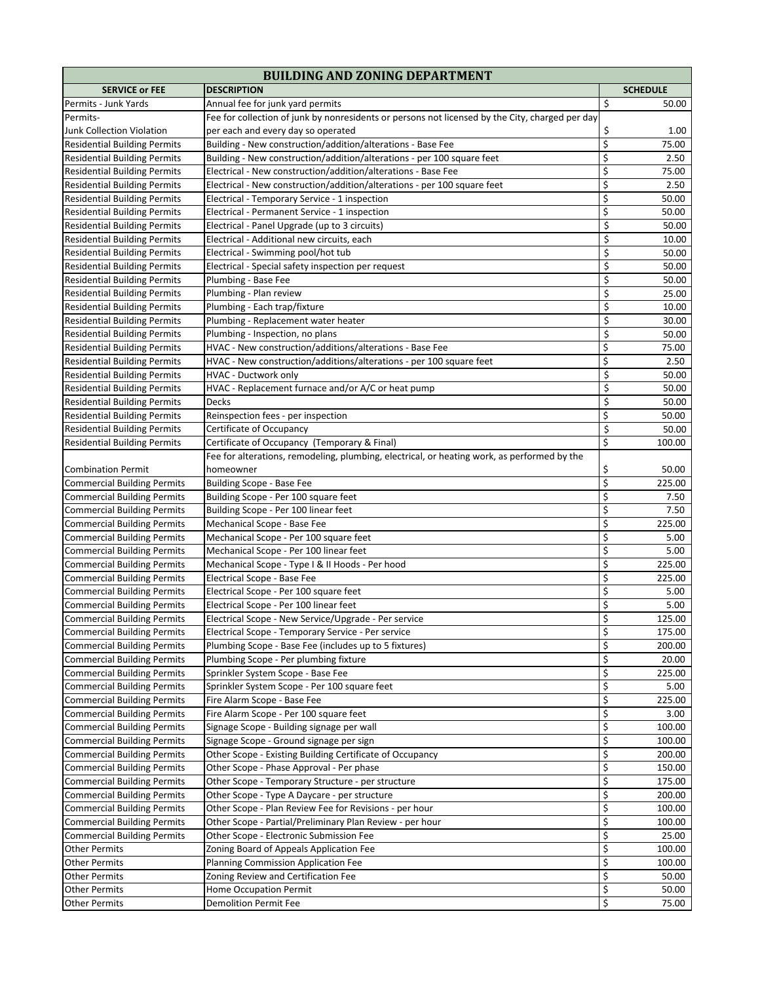| <b>BUILDING AND ZONING DEPARTMENT</b> |                                                                                                 |                  |                 |
|---------------------------------------|-------------------------------------------------------------------------------------------------|------------------|-----------------|
| <b>SERVICE or FEE</b>                 | <b>DESCRIPTION</b>                                                                              |                  | <b>SCHEDULE</b> |
| Permits - Junk Yards                  | Annual fee for junk yard permits                                                                | \$               | 50.00           |
| Permits-                              | Fee for collection of junk by nonresidents or persons not licensed by the City, charged per day |                  |                 |
| Junk Collection Violation             | per each and every day so operated                                                              | \$               | 1.00            |
| <b>Residential Building Permits</b>   | Building - New construction/addition/alterations - Base Fee                                     | $\overline{\xi}$ | 75.00           |
| <b>Residential Building Permits</b>   | Building - New construction/addition/alterations - per 100 square feet                          | \$               | 2.50            |
| <b>Residential Building Permits</b>   | Electrical - New construction/addition/alterations - Base Fee                                   | \$               | 75.00           |
| <b>Residential Building Permits</b>   | Electrical - New construction/addition/alterations - per 100 square feet                        | \$               | 2.50            |
| <b>Residential Building Permits</b>   | Electrical - Temporary Service - 1 inspection                                                   | \$               | 50.00           |
| <b>Residential Building Permits</b>   | Electrical - Permanent Service - 1 inspection                                                   | \$               | 50.00           |
| <b>Residential Building Permits</b>   | Electrical - Panel Upgrade (up to 3 circuits)                                                   | \$               | 50.00           |
| <b>Residential Building Permits</b>   | Electrical - Additional new circuits, each                                                      | \$               | 10.00           |
| <b>Residential Building Permits</b>   | Electrical - Swimming pool/hot tub                                                              | \$               | 50.00           |
| <b>Residential Building Permits</b>   | Electrical - Special safety inspection per request                                              | \$               | 50.00           |
| <b>Residential Building Permits</b>   | Plumbing - Base Fee                                                                             | \$               | 50.00           |
| <b>Residential Building Permits</b>   | Plumbing - Plan review                                                                          | \$               | 25.00           |
| <b>Residential Building Permits</b>   | Plumbing - Each trap/fixture                                                                    | \$               | 10.00           |
| <b>Residential Building Permits</b>   | Plumbing - Replacement water heater                                                             | \$               | 30.00           |
| <b>Residential Building Permits</b>   | Plumbing - Inspection, no plans                                                                 | \$               | 50.00           |
| <b>Residential Building Permits</b>   | HVAC - New construction/additions/alterations - Base Fee                                        | \$               | 75.00           |
| <b>Residential Building Permits</b>   | HVAC - New construction/additions/alterations - per 100 square feet                             | \$               | 2.50            |
| <b>Residential Building Permits</b>   | HVAC - Ductwork only                                                                            | \$               | 50.00           |
| <b>Residential Building Permits</b>   | HVAC - Replacement furnace and/or A/C or heat pump                                              | \$               | 50.00           |
| <b>Residential Building Permits</b>   | Decks                                                                                           | \$               | 50.00           |
| <b>Residential Building Permits</b>   | Reinspection fees - per inspection                                                              | \$               | 50.00           |
| <b>Residential Building Permits</b>   | Certificate of Occupancy                                                                        | \$               | 50.00           |
| <b>Residential Building Permits</b>   | Certificate of Occupancy (Temporary & Final)                                                    | \$               | 100.00          |
|                                       | Fee for alterations, remodeling, plumbing, electrical, or heating work, as performed by the     |                  |                 |
| <b>Combination Permit</b>             | homeowner                                                                                       | \$               | 50.00           |
| <b>Commercial Building Permits</b>    | Building Scope - Base Fee                                                                       | \$               | 225.00          |
| <b>Commercial Building Permits</b>    | Building Scope - Per 100 square feet                                                            | \$               | 7.50            |
| <b>Commercial Building Permits</b>    | Building Scope - Per 100 linear feet                                                            | \$               | 7.50            |
| <b>Commercial Building Permits</b>    | Mechanical Scope - Base Fee                                                                     | \$               | 225.00          |
| <b>Commercial Building Permits</b>    | Mechanical Scope - Per 100 square feet                                                          | \$               | 5.00            |
| <b>Commercial Building Permits</b>    | Mechanical Scope - Per 100 linear feet                                                          | \$               | 5.00            |
| <b>Commercial Building Permits</b>    | Mechanical Scope - Type I & II Hoods - Per hood                                                 | \$               | 225.00          |
| <b>Commercial Building Permits</b>    | Electrical Scope - Base Fee                                                                     | \$               | 225.00          |
| <b>Commercial Building Permits</b>    | Electrical Scope - Per 100 square feet                                                          | \$               | 5.00            |
| <b>Commercial Building Permits</b>    | Electrical Scope - Per 100 linear feet                                                          | \$               | 5.00            |
| <b>Commercial Building Permits</b>    | Electrical Scope - New Service/Upgrade - Per service                                            | \$               | 125.00          |
| <b>Commercial Building Permits</b>    | Electrical Scope - Temporary Service - Per service                                              | \$               | 175.00          |
| <b>Commercial Building Permits</b>    | Plumbing Scope - Base Fee (includes up to 5 fixtures)                                           | \$               | 200.00          |
| <b>Commercial Building Permits</b>    | Plumbing Scope - Per plumbing fixture                                                           | \$               | 20.00           |
| <b>Commercial Building Permits</b>    | Sprinkler System Scope - Base Fee                                                               | \$               | 225.00          |
| <b>Commercial Building Permits</b>    | Sprinkler System Scope - Per 100 square feet                                                    | \$               | 5.00            |
| <b>Commercial Building Permits</b>    | Fire Alarm Scope - Base Fee                                                                     | \$               | 225.00          |
| <b>Commercial Building Permits</b>    | Fire Alarm Scope - Per 100 square feet                                                          | \$               | 3.00            |
| <b>Commercial Building Permits</b>    | Signage Scope - Building signage per wall                                                       | \$               | 100.00          |
| <b>Commercial Building Permits</b>    | Signage Scope - Ground signage per sign                                                         | \$               | 100.00          |
| <b>Commercial Building Permits</b>    | Other Scope - Existing Building Certificate of Occupancy                                        | \$               | 200.00          |
| <b>Commercial Building Permits</b>    | Other Scope - Phase Approval - Per phase                                                        | \$               | 150.00          |
| <b>Commercial Building Permits</b>    | Other Scope - Temporary Structure - per structure                                               | \$               | 175.00          |
| <b>Commercial Building Permits</b>    | Other Scope - Type A Daycare - per structure                                                    | \$               | 200.00          |
| <b>Commercial Building Permits</b>    | Other Scope - Plan Review Fee for Revisions - per hour                                          | \$               | 100.00          |
| <b>Commercial Building Permits</b>    | Other Scope - Partial/Preliminary Plan Review - per hour                                        | \$               | 100.00          |
| <b>Commercial Building Permits</b>    | Other Scope - Electronic Submission Fee                                                         | \$               | 25.00           |
| <b>Other Permits</b>                  | Zoning Board of Appeals Application Fee                                                         | \$               | 100.00          |
| Other Permits                         | <b>Planning Commission Application Fee</b>                                                      | \$               | 100.00          |
| <b>Other Permits</b>                  | Zoning Review and Certification Fee                                                             | \$               | 50.00           |
| <b>Other Permits</b>                  | Home Occupation Permit                                                                          | \$               | 50.00           |
| Other Permits                         | Demolition Permit Fee                                                                           | \$               | 75.00           |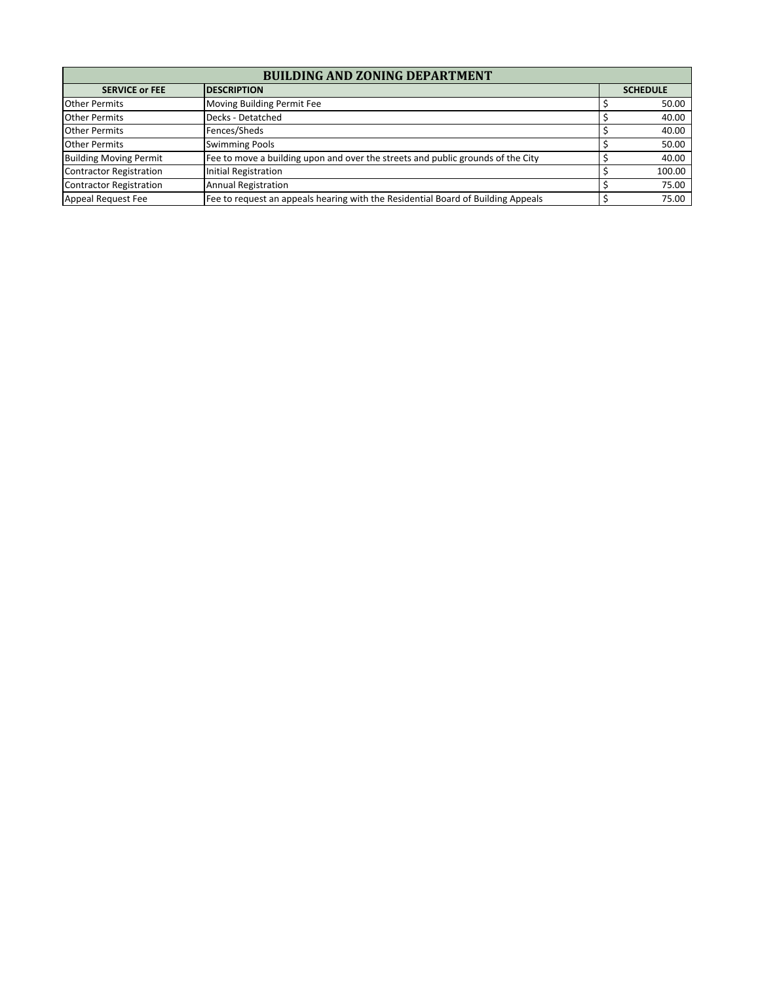| <b>BUILDING AND ZONING DEPARTMENT</b>        |                                                                                  |  |                 |  |
|----------------------------------------------|----------------------------------------------------------------------------------|--|-----------------|--|
| <b>SERVICE or FEE</b><br><b>IDESCRIPTION</b> |                                                                                  |  | <b>SCHEDULE</b> |  |
| <b>Other Permits</b>                         | Moving Building Permit Fee                                                       |  | 50.00           |  |
| <b>Other Permits</b>                         | Decks - Detatched                                                                |  | 40.00           |  |
| <b>Other Permits</b>                         | Fences/Sheds                                                                     |  | 40.00           |  |
| <b>Other Permits</b>                         | <b>Swimming Pools</b>                                                            |  | 50.00           |  |
| <b>Building Moving Permit</b>                | Fee to move a building upon and over the streets and public grounds of the City  |  | 40.00           |  |
| <b>Contractor Registration</b>               | Initial Registration                                                             |  | 100.00          |  |
| Contractor Registration                      | <b>Annual Registration</b>                                                       |  | 75.00           |  |
| Appeal Request Fee                           | Fee to request an appeals hearing with the Residential Board of Building Appeals |  | 75.00           |  |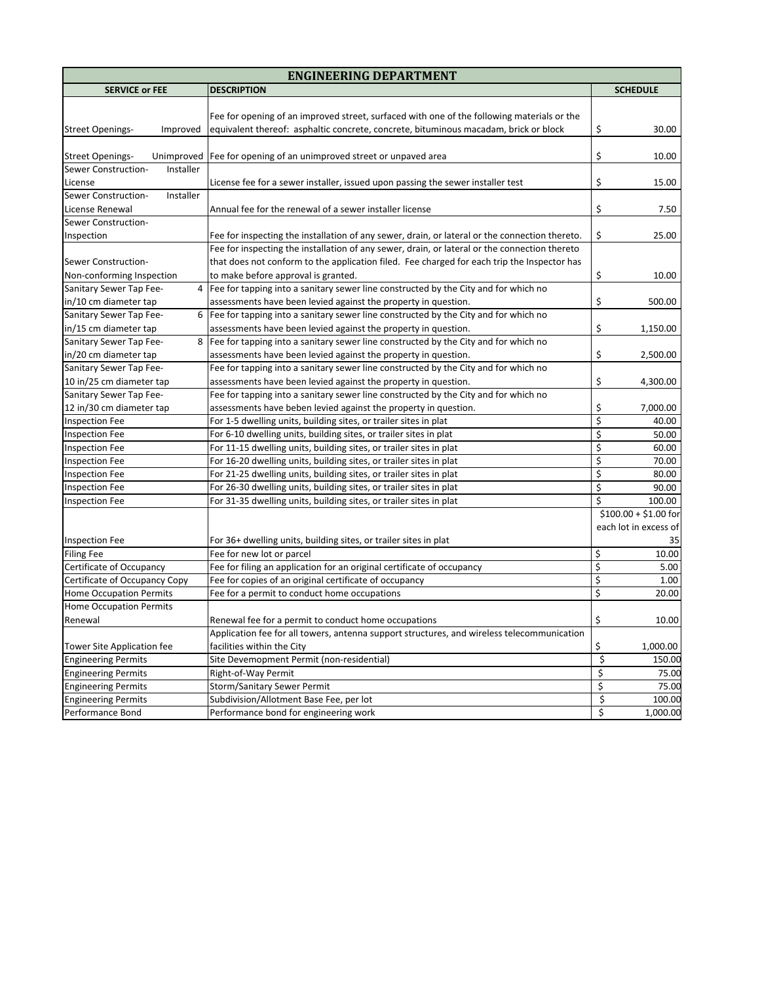| <b>ENGINEERING DEPARTMENT</b>         |                                                                                                |                  |                       |
|---------------------------------------|------------------------------------------------------------------------------------------------|------------------|-----------------------|
| <b>SERVICE or FEE</b>                 | <b>DESCRIPTION</b>                                                                             |                  | <b>SCHEDULE</b>       |
|                                       |                                                                                                |                  |                       |
|                                       | Fee for opening of an improved street, surfaced with one of the following materials or the     |                  |                       |
| <b>Street Openings-</b><br>Improved   | equivalent thereof: asphaltic concrete, concrete, bituminous macadam, brick or block           | \$               | 30.00                 |
|                                       |                                                                                                |                  |                       |
| <b>Street Openings-</b><br>Unimproved | Fee for opening of an unimproved street or unpaved area                                        | \$               | 10.00                 |
| Sewer Construction-<br>Installer      |                                                                                                |                  |                       |
| License                               | License fee for a sewer installer, issued upon passing the sewer installer test                | \$               | 15.00                 |
| Installer<br>Sewer Construction-      |                                                                                                |                  |                       |
| License Renewal                       | Annual fee for the renewal of a sewer installer license                                        | \$               | 7.50                  |
| Sewer Construction-                   |                                                                                                |                  |                       |
| Inspection                            | Fee for inspecting the installation of any sewer, drain, or lateral or the connection thereto. | \$               | 25.00                 |
|                                       | Fee for inspecting the installation of any sewer, drain, or lateral or the connection thereto  |                  |                       |
| Sewer Construction-                   | that does not conform to the application filed. Fee charged for each trip the Inspector has    |                  |                       |
| Non-conforming Inspection             | to make before approval is granted.                                                            | \$               | 10.00                 |
| Sanitary Sewer Tap Fee-<br>4          | Fee for tapping into a sanitary sewer line constructed by the City and for which no            |                  |                       |
| in/10 cm diameter tap                 | assessments have been levied against the property in question.                                 | \$               | 500.00                |
| Sanitary Sewer Tap Fee-<br>6          | Fee for tapping into a sanitary sewer line constructed by the City and for which no            |                  |                       |
| in/15 cm diameter tap                 | assessments have been levied against the property in question.                                 | \$               | 1,150.00              |
| Sanitary Sewer Tap Fee-<br>8          | Fee for tapping into a sanitary sewer line constructed by the City and for which no            |                  |                       |
| in/20 cm diameter tap                 | assessments have been levied against the property in question.                                 | \$               | 2,500.00              |
| Sanitary Sewer Tap Fee-               | Fee for tapping into a sanitary sewer line constructed by the City and for which no            |                  |                       |
| 10 in/25 cm diameter tap              | assessments have been levied against the property in question.                                 | \$               | 4,300.00              |
| Sanitary Sewer Tap Fee-               | Fee for tapping into a sanitary sewer line constructed by the City and for which no            |                  |                       |
| 12 in/30 cm diameter tap              | assessments have beben levied against the property in question.                                | \$               | 7,000.00              |
| <b>Inspection Fee</b>                 | For 1-5 dwelling units, building sites, or trailer sites in plat                               | \$               | 40.00                 |
| <b>Inspection Fee</b>                 | For 6-10 dwelling units, building sites, or trailer sites in plat                              | \$               | 50.00                 |
| Inspection Fee                        | For 11-15 dwelling units, building sites, or trailer sites in plat                             | \$               | 60.00                 |
| Inspection Fee                        | For 16-20 dwelling units, building sites, or trailer sites in plat                             | \$               | 70.00                 |
| <b>Inspection Fee</b>                 | For 21-25 dwelling units, building sites, or trailer sites in plat                             | \$               | 80.00                 |
| <b>Inspection Fee</b>                 | For 26-30 dwelling units, building sites, or trailer sites in plat                             | \$               | 90.00                 |
| <b>Inspection Fee</b>                 | For 31-35 dwelling units, building sites, or trailer sites in plat                             | \$               | 100.00                |
|                                       |                                                                                                |                  | $$100.00 + $1.00$ for |
|                                       |                                                                                                |                  | each lot in excess of |
| <b>Inspection Fee</b>                 | For 36+ dwelling units, building sites, or trailer sites in plat                               |                  | 35                    |
| <b>Filing Fee</b>                     | Fee for new lot or parcel                                                                      | \$               | 10.00                 |
| Certificate of Occupancy              | Fee for filing an application for an original certificate of occupancy                         | \$               | 5.00                  |
| Certificate of Occupancy Copy         | Fee for copies of an original certificate of occupancy                                         | \$               | 1.00                  |
| <b>Home Occupation Permits</b>        | Fee for a permit to conduct home occupations                                                   | \$               | 20.00                 |
| <b>Home Occupation Permits</b>        |                                                                                                |                  |                       |
| Renewal                               | Renewal fee for a permit to conduct home occupations                                           | Ś                | 10.00                 |
|                                       | Application fee for all towers, antenna support structures, and wireless telecommunication     |                  |                       |
| Tower Site Application fee            | facilities within the City                                                                     | \$               | 1,000.00              |
| <b>Engineering Permits</b>            | Site Devemopment Permit (non-residential)                                                      | $\overline{\xi}$ | 150.00                |
| <b>Engineering Permits</b>            | Right-of-Way Permit                                                                            | \$               | 75.00                 |
| <b>Engineering Permits</b>            | Storm/Sanitary Sewer Permit                                                                    | \$               | 75.00                 |
| <b>Engineering Permits</b>            | Subdivision/Allotment Base Fee, per lot                                                        | \$               | 100.00                |
| Performance Bond                      | Performance bond for engineering work                                                          | \$               | 1,000.00              |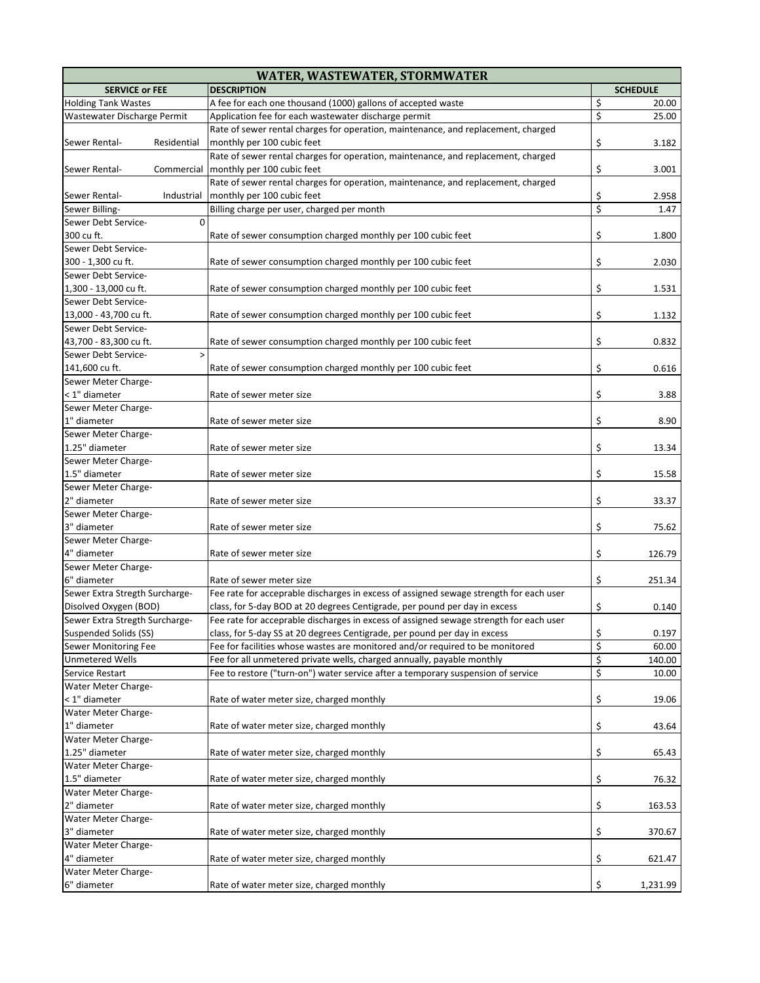| <b>DESCRIPTION</b><br><b>SERVICE or FEE</b><br><b>SCHEDULE</b><br>\$<br>A fee for each one thousand (1000) gallons of accepted waste<br>20.00<br>\$<br>Application fee for each wastewater discharge permit<br>25.00<br>Rate of sewer rental charges for operation, maintenance, and replacement, charged<br>\$<br>monthly per 100 cubic feet<br>Residential<br>3.182<br>Rate of sewer rental charges for operation, maintenance, and replacement, charged<br>\$<br>monthly per 100 cubic feet<br>Commercial<br>3.001<br>Rate of sewer rental charges for operation, maintenance, and replacement, charged<br>\$<br>monthly per 100 cubic feet<br>Industrial<br>2.958<br>\$<br>Billing charge per user, charged per month<br>1.47<br>$\Omega$<br>\$<br>Rate of sewer consumption charged monthly per 100 cubic feet<br>1.800<br>Sewer Debt Service-<br>\$<br>300 - 1,300 cu ft.<br>Rate of sewer consumption charged monthly per 100 cubic feet<br>2.030<br>Sewer Debt Service-<br>\$<br>1,300 - 13,000 cu ft.<br>Rate of sewer consumption charged monthly per 100 cubic feet<br>1.531<br>Sewer Debt Service-<br>\$<br>13,000 - 43,700 cu ft.<br>Rate of sewer consumption charged monthly per 100 cubic feet<br>1.132<br>Sewer Debt Service-<br>\$<br>Rate of sewer consumption charged monthly per 100 cubic feet<br>43,700 - 83,300 cu ft.<br>0.832<br>Sewer Debt Service-<br>$\geq$<br>\$<br>141,600 cu ft.<br>Rate of sewer consumption charged monthly per 100 cubic feet<br>0.616<br>Sewer Meter Charge-<br>\$<br>< 1" diameter<br>Rate of sewer meter size<br>3.88<br>Sewer Meter Charge-<br>\$<br>1" diameter<br>Rate of sewer meter size<br>8.90<br>Sewer Meter Charge-<br>1.25" diameter<br>\$<br>Rate of sewer meter size<br>13.34<br>Sewer Meter Charge-<br>1.5" diameter<br>\$<br>Rate of sewer meter size<br>15.58<br>Sewer Meter Charge-<br>\$<br>2" diameter<br>Rate of sewer meter size<br>33.37<br>Sewer Meter Charge-<br>\$<br>3" diameter<br>75.62<br>Rate of sewer meter size<br>Sewer Meter Charge-<br>\$<br>4" diameter<br>Rate of sewer meter size<br>126.79<br>Sewer Meter Charge-<br>\$<br>6" diameter<br>Rate of sewer meter size<br>251.34<br>Sewer Extra Stregth Surcharge-<br>Fee rate for acceprable discharges in excess of assigned sewage strength for each user<br>\$<br>Disolved Oxygen (BOD)<br>class, for 5-day BOD at 20 degrees Centigrade, per pound per day in excess<br>0.140<br>Fee rate for acceprable discharges in excess of assigned sewage strength for each user<br>Sewer Extra Stregth Surcharge-<br>\$<br>Suspended Solids (SS)<br>class, for 5-day SS at 20 degrees Centigrade, per pound per day in excess<br>0.197<br>\$<br>Fee for facilities whose wastes are monitored and/or required to be monitored<br>Sewer Monitoring Fee<br>60.00<br>\$<br><b>Unmetered Wells</b><br>Fee for all unmetered private wells, charged annually, payable monthly<br>140.00<br>\$<br>Fee to restore ("turn-on") water service after a temporary suspension of service<br>Service Restart<br>10.00<br>Water Meter Charge-<br>\$<br>< 1" diameter<br>Rate of water meter size, charged monthly<br>19.06<br>Water Meter Charge-<br>\$<br>1" diameter<br>Rate of water meter size, charged monthly<br>43.64<br>Water Meter Charge-<br>\$<br>Rate of water meter size, charged monthly<br>65.43<br>Water Meter Charge-<br>\$<br>Rate of water meter size, charged monthly<br>76.32<br>\$<br>2" diameter<br>Rate of water meter size, charged monthly<br>163.53<br>\$<br>3" diameter<br>370.67<br>Rate of water meter size, charged monthly<br>\$<br>4" diameter<br>Rate of water meter size, charged monthly<br>621.47<br>\$<br>Rate of water meter size, charged monthly<br>1,231.99 | <b>WATER, WASTEWATER, STORMWATER</b> |  |  |  |
|------------------------------------------------------------------------------------------------------------------------------------------------------------------------------------------------------------------------------------------------------------------------------------------------------------------------------------------------------------------------------------------------------------------------------------------------------------------------------------------------------------------------------------------------------------------------------------------------------------------------------------------------------------------------------------------------------------------------------------------------------------------------------------------------------------------------------------------------------------------------------------------------------------------------------------------------------------------------------------------------------------------------------------------------------------------------------------------------------------------------------------------------------------------------------------------------------------------------------------------------------------------------------------------------------------------------------------------------------------------------------------------------------------------------------------------------------------------------------------------------------------------------------------------------------------------------------------------------------------------------------------------------------------------------------------------------------------------------------------------------------------------------------------------------------------------------------------------------------------------------------------------------------------------------------------------------------------------------------------------------------------------------------------------------------------------------------------------------------------------------------------------------------------------------------------------------------------------------------------------------------------------------------------------------------------------------------------------------------------------------------------------------------------------------------------------------------------------------------------------------------------------------------------------------------------------------------------------------------------------------------------------------------------------------------------------------------------------------------------------------------------------------------------------------------------------------------------------------------------------------------------------------------------------------------------------------------------------------------------------------------------------------------------------------------------------------------------------------------------------------------------------------------------------------------------------------------------------------------------------------------------------------------------------------------------------------------------------------------------------------------------------------------------------------------------------------------------------------------------------------------------------------------------------------------------------------------------------------------------------------------------------------------------------------------------------------------------------------------|--------------------------------------|--|--|--|
|                                                                                                                                                                                                                                                                                                                                                                                                                                                                                                                                                                                                                                                                                                                                                                                                                                                                                                                                                                                                                                                                                                                                                                                                                                                                                                                                                                                                                                                                                                                                                                                                                                                                                                                                                                                                                                                                                                                                                                                                                                                                                                                                                                                                                                                                                                                                                                                                                                                                                                                                                                                                                                                                                                                                                                                                                                                                                                                                                                                                                                                                                                                                                                                                                                                                                                                                                                                                                                                                                                                                                                                                                                                                                                                              |                                      |  |  |  |
|                                                                                                                                                                                                                                                                                                                                                                                                                                                                                                                                                                                                                                                                                                                                                                                                                                                                                                                                                                                                                                                                                                                                                                                                                                                                                                                                                                                                                                                                                                                                                                                                                                                                                                                                                                                                                                                                                                                                                                                                                                                                                                                                                                                                                                                                                                                                                                                                                                                                                                                                                                                                                                                                                                                                                                                                                                                                                                                                                                                                                                                                                                                                                                                                                                                                                                                                                                                                                                                                                                                                                                                                                                                                                                                              | <b>Holding Tank Wastes</b>           |  |  |  |
|                                                                                                                                                                                                                                                                                                                                                                                                                                                                                                                                                                                                                                                                                                                                                                                                                                                                                                                                                                                                                                                                                                                                                                                                                                                                                                                                                                                                                                                                                                                                                                                                                                                                                                                                                                                                                                                                                                                                                                                                                                                                                                                                                                                                                                                                                                                                                                                                                                                                                                                                                                                                                                                                                                                                                                                                                                                                                                                                                                                                                                                                                                                                                                                                                                                                                                                                                                                                                                                                                                                                                                                                                                                                                                                              | Wastewater Discharge Permit          |  |  |  |
|                                                                                                                                                                                                                                                                                                                                                                                                                                                                                                                                                                                                                                                                                                                                                                                                                                                                                                                                                                                                                                                                                                                                                                                                                                                                                                                                                                                                                                                                                                                                                                                                                                                                                                                                                                                                                                                                                                                                                                                                                                                                                                                                                                                                                                                                                                                                                                                                                                                                                                                                                                                                                                                                                                                                                                                                                                                                                                                                                                                                                                                                                                                                                                                                                                                                                                                                                                                                                                                                                                                                                                                                                                                                                                                              |                                      |  |  |  |
|                                                                                                                                                                                                                                                                                                                                                                                                                                                                                                                                                                                                                                                                                                                                                                                                                                                                                                                                                                                                                                                                                                                                                                                                                                                                                                                                                                                                                                                                                                                                                                                                                                                                                                                                                                                                                                                                                                                                                                                                                                                                                                                                                                                                                                                                                                                                                                                                                                                                                                                                                                                                                                                                                                                                                                                                                                                                                                                                                                                                                                                                                                                                                                                                                                                                                                                                                                                                                                                                                                                                                                                                                                                                                                                              | Sewer Rental-                        |  |  |  |
|                                                                                                                                                                                                                                                                                                                                                                                                                                                                                                                                                                                                                                                                                                                                                                                                                                                                                                                                                                                                                                                                                                                                                                                                                                                                                                                                                                                                                                                                                                                                                                                                                                                                                                                                                                                                                                                                                                                                                                                                                                                                                                                                                                                                                                                                                                                                                                                                                                                                                                                                                                                                                                                                                                                                                                                                                                                                                                                                                                                                                                                                                                                                                                                                                                                                                                                                                                                                                                                                                                                                                                                                                                                                                                                              |                                      |  |  |  |
|                                                                                                                                                                                                                                                                                                                                                                                                                                                                                                                                                                                                                                                                                                                                                                                                                                                                                                                                                                                                                                                                                                                                                                                                                                                                                                                                                                                                                                                                                                                                                                                                                                                                                                                                                                                                                                                                                                                                                                                                                                                                                                                                                                                                                                                                                                                                                                                                                                                                                                                                                                                                                                                                                                                                                                                                                                                                                                                                                                                                                                                                                                                                                                                                                                                                                                                                                                                                                                                                                                                                                                                                                                                                                                                              | Sewer Rental-                        |  |  |  |
|                                                                                                                                                                                                                                                                                                                                                                                                                                                                                                                                                                                                                                                                                                                                                                                                                                                                                                                                                                                                                                                                                                                                                                                                                                                                                                                                                                                                                                                                                                                                                                                                                                                                                                                                                                                                                                                                                                                                                                                                                                                                                                                                                                                                                                                                                                                                                                                                                                                                                                                                                                                                                                                                                                                                                                                                                                                                                                                                                                                                                                                                                                                                                                                                                                                                                                                                                                                                                                                                                                                                                                                                                                                                                                                              |                                      |  |  |  |
|                                                                                                                                                                                                                                                                                                                                                                                                                                                                                                                                                                                                                                                                                                                                                                                                                                                                                                                                                                                                                                                                                                                                                                                                                                                                                                                                                                                                                                                                                                                                                                                                                                                                                                                                                                                                                                                                                                                                                                                                                                                                                                                                                                                                                                                                                                                                                                                                                                                                                                                                                                                                                                                                                                                                                                                                                                                                                                                                                                                                                                                                                                                                                                                                                                                                                                                                                                                                                                                                                                                                                                                                                                                                                                                              | Sewer Rental-                        |  |  |  |
|                                                                                                                                                                                                                                                                                                                                                                                                                                                                                                                                                                                                                                                                                                                                                                                                                                                                                                                                                                                                                                                                                                                                                                                                                                                                                                                                                                                                                                                                                                                                                                                                                                                                                                                                                                                                                                                                                                                                                                                                                                                                                                                                                                                                                                                                                                                                                                                                                                                                                                                                                                                                                                                                                                                                                                                                                                                                                                                                                                                                                                                                                                                                                                                                                                                                                                                                                                                                                                                                                                                                                                                                                                                                                                                              | Sewer Billing-                       |  |  |  |
|                                                                                                                                                                                                                                                                                                                                                                                                                                                                                                                                                                                                                                                                                                                                                                                                                                                                                                                                                                                                                                                                                                                                                                                                                                                                                                                                                                                                                                                                                                                                                                                                                                                                                                                                                                                                                                                                                                                                                                                                                                                                                                                                                                                                                                                                                                                                                                                                                                                                                                                                                                                                                                                                                                                                                                                                                                                                                                                                                                                                                                                                                                                                                                                                                                                                                                                                                                                                                                                                                                                                                                                                                                                                                                                              | Sewer Debt Service-                  |  |  |  |
|                                                                                                                                                                                                                                                                                                                                                                                                                                                                                                                                                                                                                                                                                                                                                                                                                                                                                                                                                                                                                                                                                                                                                                                                                                                                                                                                                                                                                                                                                                                                                                                                                                                                                                                                                                                                                                                                                                                                                                                                                                                                                                                                                                                                                                                                                                                                                                                                                                                                                                                                                                                                                                                                                                                                                                                                                                                                                                                                                                                                                                                                                                                                                                                                                                                                                                                                                                                                                                                                                                                                                                                                                                                                                                                              | 300 cu ft.                           |  |  |  |
|                                                                                                                                                                                                                                                                                                                                                                                                                                                                                                                                                                                                                                                                                                                                                                                                                                                                                                                                                                                                                                                                                                                                                                                                                                                                                                                                                                                                                                                                                                                                                                                                                                                                                                                                                                                                                                                                                                                                                                                                                                                                                                                                                                                                                                                                                                                                                                                                                                                                                                                                                                                                                                                                                                                                                                                                                                                                                                                                                                                                                                                                                                                                                                                                                                                                                                                                                                                                                                                                                                                                                                                                                                                                                                                              |                                      |  |  |  |
|                                                                                                                                                                                                                                                                                                                                                                                                                                                                                                                                                                                                                                                                                                                                                                                                                                                                                                                                                                                                                                                                                                                                                                                                                                                                                                                                                                                                                                                                                                                                                                                                                                                                                                                                                                                                                                                                                                                                                                                                                                                                                                                                                                                                                                                                                                                                                                                                                                                                                                                                                                                                                                                                                                                                                                                                                                                                                                                                                                                                                                                                                                                                                                                                                                                                                                                                                                                                                                                                                                                                                                                                                                                                                                                              |                                      |  |  |  |
|                                                                                                                                                                                                                                                                                                                                                                                                                                                                                                                                                                                                                                                                                                                                                                                                                                                                                                                                                                                                                                                                                                                                                                                                                                                                                                                                                                                                                                                                                                                                                                                                                                                                                                                                                                                                                                                                                                                                                                                                                                                                                                                                                                                                                                                                                                                                                                                                                                                                                                                                                                                                                                                                                                                                                                                                                                                                                                                                                                                                                                                                                                                                                                                                                                                                                                                                                                                                                                                                                                                                                                                                                                                                                                                              |                                      |  |  |  |
|                                                                                                                                                                                                                                                                                                                                                                                                                                                                                                                                                                                                                                                                                                                                                                                                                                                                                                                                                                                                                                                                                                                                                                                                                                                                                                                                                                                                                                                                                                                                                                                                                                                                                                                                                                                                                                                                                                                                                                                                                                                                                                                                                                                                                                                                                                                                                                                                                                                                                                                                                                                                                                                                                                                                                                                                                                                                                                                                                                                                                                                                                                                                                                                                                                                                                                                                                                                                                                                                                                                                                                                                                                                                                                                              |                                      |  |  |  |
|                                                                                                                                                                                                                                                                                                                                                                                                                                                                                                                                                                                                                                                                                                                                                                                                                                                                                                                                                                                                                                                                                                                                                                                                                                                                                                                                                                                                                                                                                                                                                                                                                                                                                                                                                                                                                                                                                                                                                                                                                                                                                                                                                                                                                                                                                                                                                                                                                                                                                                                                                                                                                                                                                                                                                                                                                                                                                                                                                                                                                                                                                                                                                                                                                                                                                                                                                                                                                                                                                                                                                                                                                                                                                                                              |                                      |  |  |  |
|                                                                                                                                                                                                                                                                                                                                                                                                                                                                                                                                                                                                                                                                                                                                                                                                                                                                                                                                                                                                                                                                                                                                                                                                                                                                                                                                                                                                                                                                                                                                                                                                                                                                                                                                                                                                                                                                                                                                                                                                                                                                                                                                                                                                                                                                                                                                                                                                                                                                                                                                                                                                                                                                                                                                                                                                                                                                                                                                                                                                                                                                                                                                                                                                                                                                                                                                                                                                                                                                                                                                                                                                                                                                                                                              |                                      |  |  |  |
|                                                                                                                                                                                                                                                                                                                                                                                                                                                                                                                                                                                                                                                                                                                                                                                                                                                                                                                                                                                                                                                                                                                                                                                                                                                                                                                                                                                                                                                                                                                                                                                                                                                                                                                                                                                                                                                                                                                                                                                                                                                                                                                                                                                                                                                                                                                                                                                                                                                                                                                                                                                                                                                                                                                                                                                                                                                                                                                                                                                                                                                                                                                                                                                                                                                                                                                                                                                                                                                                                                                                                                                                                                                                                                                              |                                      |  |  |  |
|                                                                                                                                                                                                                                                                                                                                                                                                                                                                                                                                                                                                                                                                                                                                                                                                                                                                                                                                                                                                                                                                                                                                                                                                                                                                                                                                                                                                                                                                                                                                                                                                                                                                                                                                                                                                                                                                                                                                                                                                                                                                                                                                                                                                                                                                                                                                                                                                                                                                                                                                                                                                                                                                                                                                                                                                                                                                                                                                                                                                                                                                                                                                                                                                                                                                                                                                                                                                                                                                                                                                                                                                                                                                                                                              |                                      |  |  |  |
|                                                                                                                                                                                                                                                                                                                                                                                                                                                                                                                                                                                                                                                                                                                                                                                                                                                                                                                                                                                                                                                                                                                                                                                                                                                                                                                                                                                                                                                                                                                                                                                                                                                                                                                                                                                                                                                                                                                                                                                                                                                                                                                                                                                                                                                                                                                                                                                                                                                                                                                                                                                                                                                                                                                                                                                                                                                                                                                                                                                                                                                                                                                                                                                                                                                                                                                                                                                                                                                                                                                                                                                                                                                                                                                              |                                      |  |  |  |
|                                                                                                                                                                                                                                                                                                                                                                                                                                                                                                                                                                                                                                                                                                                                                                                                                                                                                                                                                                                                                                                                                                                                                                                                                                                                                                                                                                                                                                                                                                                                                                                                                                                                                                                                                                                                                                                                                                                                                                                                                                                                                                                                                                                                                                                                                                                                                                                                                                                                                                                                                                                                                                                                                                                                                                                                                                                                                                                                                                                                                                                                                                                                                                                                                                                                                                                                                                                                                                                                                                                                                                                                                                                                                                                              |                                      |  |  |  |
|                                                                                                                                                                                                                                                                                                                                                                                                                                                                                                                                                                                                                                                                                                                                                                                                                                                                                                                                                                                                                                                                                                                                                                                                                                                                                                                                                                                                                                                                                                                                                                                                                                                                                                                                                                                                                                                                                                                                                                                                                                                                                                                                                                                                                                                                                                                                                                                                                                                                                                                                                                                                                                                                                                                                                                                                                                                                                                                                                                                                                                                                                                                                                                                                                                                                                                                                                                                                                                                                                                                                                                                                                                                                                                                              |                                      |  |  |  |
|                                                                                                                                                                                                                                                                                                                                                                                                                                                                                                                                                                                                                                                                                                                                                                                                                                                                                                                                                                                                                                                                                                                                                                                                                                                                                                                                                                                                                                                                                                                                                                                                                                                                                                                                                                                                                                                                                                                                                                                                                                                                                                                                                                                                                                                                                                                                                                                                                                                                                                                                                                                                                                                                                                                                                                                                                                                                                                                                                                                                                                                                                                                                                                                                                                                                                                                                                                                                                                                                                                                                                                                                                                                                                                                              |                                      |  |  |  |
|                                                                                                                                                                                                                                                                                                                                                                                                                                                                                                                                                                                                                                                                                                                                                                                                                                                                                                                                                                                                                                                                                                                                                                                                                                                                                                                                                                                                                                                                                                                                                                                                                                                                                                                                                                                                                                                                                                                                                                                                                                                                                                                                                                                                                                                                                                                                                                                                                                                                                                                                                                                                                                                                                                                                                                                                                                                                                                                                                                                                                                                                                                                                                                                                                                                                                                                                                                                                                                                                                                                                                                                                                                                                                                                              |                                      |  |  |  |
|                                                                                                                                                                                                                                                                                                                                                                                                                                                                                                                                                                                                                                                                                                                                                                                                                                                                                                                                                                                                                                                                                                                                                                                                                                                                                                                                                                                                                                                                                                                                                                                                                                                                                                                                                                                                                                                                                                                                                                                                                                                                                                                                                                                                                                                                                                                                                                                                                                                                                                                                                                                                                                                                                                                                                                                                                                                                                                                                                                                                                                                                                                                                                                                                                                                                                                                                                                                                                                                                                                                                                                                                                                                                                                                              |                                      |  |  |  |
|                                                                                                                                                                                                                                                                                                                                                                                                                                                                                                                                                                                                                                                                                                                                                                                                                                                                                                                                                                                                                                                                                                                                                                                                                                                                                                                                                                                                                                                                                                                                                                                                                                                                                                                                                                                                                                                                                                                                                                                                                                                                                                                                                                                                                                                                                                                                                                                                                                                                                                                                                                                                                                                                                                                                                                                                                                                                                                                                                                                                                                                                                                                                                                                                                                                                                                                                                                                                                                                                                                                                                                                                                                                                                                                              |                                      |  |  |  |
|                                                                                                                                                                                                                                                                                                                                                                                                                                                                                                                                                                                                                                                                                                                                                                                                                                                                                                                                                                                                                                                                                                                                                                                                                                                                                                                                                                                                                                                                                                                                                                                                                                                                                                                                                                                                                                                                                                                                                                                                                                                                                                                                                                                                                                                                                                                                                                                                                                                                                                                                                                                                                                                                                                                                                                                                                                                                                                                                                                                                                                                                                                                                                                                                                                                                                                                                                                                                                                                                                                                                                                                                                                                                                                                              |                                      |  |  |  |
|                                                                                                                                                                                                                                                                                                                                                                                                                                                                                                                                                                                                                                                                                                                                                                                                                                                                                                                                                                                                                                                                                                                                                                                                                                                                                                                                                                                                                                                                                                                                                                                                                                                                                                                                                                                                                                                                                                                                                                                                                                                                                                                                                                                                                                                                                                                                                                                                                                                                                                                                                                                                                                                                                                                                                                                                                                                                                                                                                                                                                                                                                                                                                                                                                                                                                                                                                                                                                                                                                                                                                                                                                                                                                                                              |                                      |  |  |  |
|                                                                                                                                                                                                                                                                                                                                                                                                                                                                                                                                                                                                                                                                                                                                                                                                                                                                                                                                                                                                                                                                                                                                                                                                                                                                                                                                                                                                                                                                                                                                                                                                                                                                                                                                                                                                                                                                                                                                                                                                                                                                                                                                                                                                                                                                                                                                                                                                                                                                                                                                                                                                                                                                                                                                                                                                                                                                                                                                                                                                                                                                                                                                                                                                                                                                                                                                                                                                                                                                                                                                                                                                                                                                                                                              |                                      |  |  |  |
|                                                                                                                                                                                                                                                                                                                                                                                                                                                                                                                                                                                                                                                                                                                                                                                                                                                                                                                                                                                                                                                                                                                                                                                                                                                                                                                                                                                                                                                                                                                                                                                                                                                                                                                                                                                                                                                                                                                                                                                                                                                                                                                                                                                                                                                                                                                                                                                                                                                                                                                                                                                                                                                                                                                                                                                                                                                                                                                                                                                                                                                                                                                                                                                                                                                                                                                                                                                                                                                                                                                                                                                                                                                                                                                              |                                      |  |  |  |
|                                                                                                                                                                                                                                                                                                                                                                                                                                                                                                                                                                                                                                                                                                                                                                                                                                                                                                                                                                                                                                                                                                                                                                                                                                                                                                                                                                                                                                                                                                                                                                                                                                                                                                                                                                                                                                                                                                                                                                                                                                                                                                                                                                                                                                                                                                                                                                                                                                                                                                                                                                                                                                                                                                                                                                                                                                                                                                                                                                                                                                                                                                                                                                                                                                                                                                                                                                                                                                                                                                                                                                                                                                                                                                                              |                                      |  |  |  |
|                                                                                                                                                                                                                                                                                                                                                                                                                                                                                                                                                                                                                                                                                                                                                                                                                                                                                                                                                                                                                                                                                                                                                                                                                                                                                                                                                                                                                                                                                                                                                                                                                                                                                                                                                                                                                                                                                                                                                                                                                                                                                                                                                                                                                                                                                                                                                                                                                                                                                                                                                                                                                                                                                                                                                                                                                                                                                                                                                                                                                                                                                                                                                                                                                                                                                                                                                                                                                                                                                                                                                                                                                                                                                                                              |                                      |  |  |  |
|                                                                                                                                                                                                                                                                                                                                                                                                                                                                                                                                                                                                                                                                                                                                                                                                                                                                                                                                                                                                                                                                                                                                                                                                                                                                                                                                                                                                                                                                                                                                                                                                                                                                                                                                                                                                                                                                                                                                                                                                                                                                                                                                                                                                                                                                                                                                                                                                                                                                                                                                                                                                                                                                                                                                                                                                                                                                                                                                                                                                                                                                                                                                                                                                                                                                                                                                                                                                                                                                                                                                                                                                                                                                                                                              |                                      |  |  |  |
|                                                                                                                                                                                                                                                                                                                                                                                                                                                                                                                                                                                                                                                                                                                                                                                                                                                                                                                                                                                                                                                                                                                                                                                                                                                                                                                                                                                                                                                                                                                                                                                                                                                                                                                                                                                                                                                                                                                                                                                                                                                                                                                                                                                                                                                                                                                                                                                                                                                                                                                                                                                                                                                                                                                                                                                                                                                                                                                                                                                                                                                                                                                                                                                                                                                                                                                                                                                                                                                                                                                                                                                                                                                                                                                              |                                      |  |  |  |
|                                                                                                                                                                                                                                                                                                                                                                                                                                                                                                                                                                                                                                                                                                                                                                                                                                                                                                                                                                                                                                                                                                                                                                                                                                                                                                                                                                                                                                                                                                                                                                                                                                                                                                                                                                                                                                                                                                                                                                                                                                                                                                                                                                                                                                                                                                                                                                                                                                                                                                                                                                                                                                                                                                                                                                                                                                                                                                                                                                                                                                                                                                                                                                                                                                                                                                                                                                                                                                                                                                                                                                                                                                                                                                                              |                                      |  |  |  |
|                                                                                                                                                                                                                                                                                                                                                                                                                                                                                                                                                                                                                                                                                                                                                                                                                                                                                                                                                                                                                                                                                                                                                                                                                                                                                                                                                                                                                                                                                                                                                                                                                                                                                                                                                                                                                                                                                                                                                                                                                                                                                                                                                                                                                                                                                                                                                                                                                                                                                                                                                                                                                                                                                                                                                                                                                                                                                                                                                                                                                                                                                                                                                                                                                                                                                                                                                                                                                                                                                                                                                                                                                                                                                                                              |                                      |  |  |  |
|                                                                                                                                                                                                                                                                                                                                                                                                                                                                                                                                                                                                                                                                                                                                                                                                                                                                                                                                                                                                                                                                                                                                                                                                                                                                                                                                                                                                                                                                                                                                                                                                                                                                                                                                                                                                                                                                                                                                                                                                                                                                                                                                                                                                                                                                                                                                                                                                                                                                                                                                                                                                                                                                                                                                                                                                                                                                                                                                                                                                                                                                                                                                                                                                                                                                                                                                                                                                                                                                                                                                                                                                                                                                                                                              |                                      |  |  |  |
|                                                                                                                                                                                                                                                                                                                                                                                                                                                                                                                                                                                                                                                                                                                                                                                                                                                                                                                                                                                                                                                                                                                                                                                                                                                                                                                                                                                                                                                                                                                                                                                                                                                                                                                                                                                                                                                                                                                                                                                                                                                                                                                                                                                                                                                                                                                                                                                                                                                                                                                                                                                                                                                                                                                                                                                                                                                                                                                                                                                                                                                                                                                                                                                                                                                                                                                                                                                                                                                                                                                                                                                                                                                                                                                              |                                      |  |  |  |
|                                                                                                                                                                                                                                                                                                                                                                                                                                                                                                                                                                                                                                                                                                                                                                                                                                                                                                                                                                                                                                                                                                                                                                                                                                                                                                                                                                                                                                                                                                                                                                                                                                                                                                                                                                                                                                                                                                                                                                                                                                                                                                                                                                                                                                                                                                                                                                                                                                                                                                                                                                                                                                                                                                                                                                                                                                                                                                                                                                                                                                                                                                                                                                                                                                                                                                                                                                                                                                                                                                                                                                                                                                                                                                                              |                                      |  |  |  |
|                                                                                                                                                                                                                                                                                                                                                                                                                                                                                                                                                                                                                                                                                                                                                                                                                                                                                                                                                                                                                                                                                                                                                                                                                                                                                                                                                                                                                                                                                                                                                                                                                                                                                                                                                                                                                                                                                                                                                                                                                                                                                                                                                                                                                                                                                                                                                                                                                                                                                                                                                                                                                                                                                                                                                                                                                                                                                                                                                                                                                                                                                                                                                                                                                                                                                                                                                                                                                                                                                                                                                                                                                                                                                                                              |                                      |  |  |  |
|                                                                                                                                                                                                                                                                                                                                                                                                                                                                                                                                                                                                                                                                                                                                                                                                                                                                                                                                                                                                                                                                                                                                                                                                                                                                                                                                                                                                                                                                                                                                                                                                                                                                                                                                                                                                                                                                                                                                                                                                                                                                                                                                                                                                                                                                                                                                                                                                                                                                                                                                                                                                                                                                                                                                                                                                                                                                                                                                                                                                                                                                                                                                                                                                                                                                                                                                                                                                                                                                                                                                                                                                                                                                                                                              |                                      |  |  |  |
|                                                                                                                                                                                                                                                                                                                                                                                                                                                                                                                                                                                                                                                                                                                                                                                                                                                                                                                                                                                                                                                                                                                                                                                                                                                                                                                                                                                                                                                                                                                                                                                                                                                                                                                                                                                                                                                                                                                                                                                                                                                                                                                                                                                                                                                                                                                                                                                                                                                                                                                                                                                                                                                                                                                                                                                                                                                                                                                                                                                                                                                                                                                                                                                                                                                                                                                                                                                                                                                                                                                                                                                                                                                                                                                              |                                      |  |  |  |
|                                                                                                                                                                                                                                                                                                                                                                                                                                                                                                                                                                                                                                                                                                                                                                                                                                                                                                                                                                                                                                                                                                                                                                                                                                                                                                                                                                                                                                                                                                                                                                                                                                                                                                                                                                                                                                                                                                                                                                                                                                                                                                                                                                                                                                                                                                                                                                                                                                                                                                                                                                                                                                                                                                                                                                                                                                                                                                                                                                                                                                                                                                                                                                                                                                                                                                                                                                                                                                                                                                                                                                                                                                                                                                                              |                                      |  |  |  |
|                                                                                                                                                                                                                                                                                                                                                                                                                                                                                                                                                                                                                                                                                                                                                                                                                                                                                                                                                                                                                                                                                                                                                                                                                                                                                                                                                                                                                                                                                                                                                                                                                                                                                                                                                                                                                                                                                                                                                                                                                                                                                                                                                                                                                                                                                                                                                                                                                                                                                                                                                                                                                                                                                                                                                                                                                                                                                                                                                                                                                                                                                                                                                                                                                                                                                                                                                                                                                                                                                                                                                                                                                                                                                                                              |                                      |  |  |  |
|                                                                                                                                                                                                                                                                                                                                                                                                                                                                                                                                                                                                                                                                                                                                                                                                                                                                                                                                                                                                                                                                                                                                                                                                                                                                                                                                                                                                                                                                                                                                                                                                                                                                                                                                                                                                                                                                                                                                                                                                                                                                                                                                                                                                                                                                                                                                                                                                                                                                                                                                                                                                                                                                                                                                                                                                                                                                                                                                                                                                                                                                                                                                                                                                                                                                                                                                                                                                                                                                                                                                                                                                                                                                                                                              |                                      |  |  |  |
|                                                                                                                                                                                                                                                                                                                                                                                                                                                                                                                                                                                                                                                                                                                                                                                                                                                                                                                                                                                                                                                                                                                                                                                                                                                                                                                                                                                                                                                                                                                                                                                                                                                                                                                                                                                                                                                                                                                                                                                                                                                                                                                                                                                                                                                                                                                                                                                                                                                                                                                                                                                                                                                                                                                                                                                                                                                                                                                                                                                                                                                                                                                                                                                                                                                                                                                                                                                                                                                                                                                                                                                                                                                                                                                              |                                      |  |  |  |
|                                                                                                                                                                                                                                                                                                                                                                                                                                                                                                                                                                                                                                                                                                                                                                                                                                                                                                                                                                                                                                                                                                                                                                                                                                                                                                                                                                                                                                                                                                                                                                                                                                                                                                                                                                                                                                                                                                                                                                                                                                                                                                                                                                                                                                                                                                                                                                                                                                                                                                                                                                                                                                                                                                                                                                                                                                                                                                                                                                                                                                                                                                                                                                                                                                                                                                                                                                                                                                                                                                                                                                                                                                                                                                                              |                                      |  |  |  |
|                                                                                                                                                                                                                                                                                                                                                                                                                                                                                                                                                                                                                                                                                                                                                                                                                                                                                                                                                                                                                                                                                                                                                                                                                                                                                                                                                                                                                                                                                                                                                                                                                                                                                                                                                                                                                                                                                                                                                                                                                                                                                                                                                                                                                                                                                                                                                                                                                                                                                                                                                                                                                                                                                                                                                                                                                                                                                                                                                                                                                                                                                                                                                                                                                                                                                                                                                                                                                                                                                                                                                                                                                                                                                                                              |                                      |  |  |  |
|                                                                                                                                                                                                                                                                                                                                                                                                                                                                                                                                                                                                                                                                                                                                                                                                                                                                                                                                                                                                                                                                                                                                                                                                                                                                                                                                                                                                                                                                                                                                                                                                                                                                                                                                                                                                                                                                                                                                                                                                                                                                                                                                                                                                                                                                                                                                                                                                                                                                                                                                                                                                                                                                                                                                                                                                                                                                                                                                                                                                                                                                                                                                                                                                                                                                                                                                                                                                                                                                                                                                                                                                                                                                                                                              |                                      |  |  |  |
|                                                                                                                                                                                                                                                                                                                                                                                                                                                                                                                                                                                                                                                                                                                                                                                                                                                                                                                                                                                                                                                                                                                                                                                                                                                                                                                                                                                                                                                                                                                                                                                                                                                                                                                                                                                                                                                                                                                                                                                                                                                                                                                                                                                                                                                                                                                                                                                                                                                                                                                                                                                                                                                                                                                                                                                                                                                                                                                                                                                                                                                                                                                                                                                                                                                                                                                                                                                                                                                                                                                                                                                                                                                                                                                              |                                      |  |  |  |
|                                                                                                                                                                                                                                                                                                                                                                                                                                                                                                                                                                                                                                                                                                                                                                                                                                                                                                                                                                                                                                                                                                                                                                                                                                                                                                                                                                                                                                                                                                                                                                                                                                                                                                                                                                                                                                                                                                                                                                                                                                                                                                                                                                                                                                                                                                                                                                                                                                                                                                                                                                                                                                                                                                                                                                                                                                                                                                                                                                                                                                                                                                                                                                                                                                                                                                                                                                                                                                                                                                                                                                                                                                                                                                                              | 1.25" diameter                       |  |  |  |
|                                                                                                                                                                                                                                                                                                                                                                                                                                                                                                                                                                                                                                                                                                                                                                                                                                                                                                                                                                                                                                                                                                                                                                                                                                                                                                                                                                                                                                                                                                                                                                                                                                                                                                                                                                                                                                                                                                                                                                                                                                                                                                                                                                                                                                                                                                                                                                                                                                                                                                                                                                                                                                                                                                                                                                                                                                                                                                                                                                                                                                                                                                                                                                                                                                                                                                                                                                                                                                                                                                                                                                                                                                                                                                                              |                                      |  |  |  |
|                                                                                                                                                                                                                                                                                                                                                                                                                                                                                                                                                                                                                                                                                                                                                                                                                                                                                                                                                                                                                                                                                                                                                                                                                                                                                                                                                                                                                                                                                                                                                                                                                                                                                                                                                                                                                                                                                                                                                                                                                                                                                                                                                                                                                                                                                                                                                                                                                                                                                                                                                                                                                                                                                                                                                                                                                                                                                                                                                                                                                                                                                                                                                                                                                                                                                                                                                                                                                                                                                                                                                                                                                                                                                                                              | 1.5" diameter                        |  |  |  |
|                                                                                                                                                                                                                                                                                                                                                                                                                                                                                                                                                                                                                                                                                                                                                                                                                                                                                                                                                                                                                                                                                                                                                                                                                                                                                                                                                                                                                                                                                                                                                                                                                                                                                                                                                                                                                                                                                                                                                                                                                                                                                                                                                                                                                                                                                                                                                                                                                                                                                                                                                                                                                                                                                                                                                                                                                                                                                                                                                                                                                                                                                                                                                                                                                                                                                                                                                                                                                                                                                                                                                                                                                                                                                                                              | Water Meter Charge-                  |  |  |  |
|                                                                                                                                                                                                                                                                                                                                                                                                                                                                                                                                                                                                                                                                                                                                                                                                                                                                                                                                                                                                                                                                                                                                                                                                                                                                                                                                                                                                                                                                                                                                                                                                                                                                                                                                                                                                                                                                                                                                                                                                                                                                                                                                                                                                                                                                                                                                                                                                                                                                                                                                                                                                                                                                                                                                                                                                                                                                                                                                                                                                                                                                                                                                                                                                                                                                                                                                                                                                                                                                                                                                                                                                                                                                                                                              |                                      |  |  |  |
|                                                                                                                                                                                                                                                                                                                                                                                                                                                                                                                                                                                                                                                                                                                                                                                                                                                                                                                                                                                                                                                                                                                                                                                                                                                                                                                                                                                                                                                                                                                                                                                                                                                                                                                                                                                                                                                                                                                                                                                                                                                                                                                                                                                                                                                                                                                                                                                                                                                                                                                                                                                                                                                                                                                                                                                                                                                                                                                                                                                                                                                                                                                                                                                                                                                                                                                                                                                                                                                                                                                                                                                                                                                                                                                              | Water Meter Charge-                  |  |  |  |
|                                                                                                                                                                                                                                                                                                                                                                                                                                                                                                                                                                                                                                                                                                                                                                                                                                                                                                                                                                                                                                                                                                                                                                                                                                                                                                                                                                                                                                                                                                                                                                                                                                                                                                                                                                                                                                                                                                                                                                                                                                                                                                                                                                                                                                                                                                                                                                                                                                                                                                                                                                                                                                                                                                                                                                                                                                                                                                                                                                                                                                                                                                                                                                                                                                                                                                                                                                                                                                                                                                                                                                                                                                                                                                                              |                                      |  |  |  |
|                                                                                                                                                                                                                                                                                                                                                                                                                                                                                                                                                                                                                                                                                                                                                                                                                                                                                                                                                                                                                                                                                                                                                                                                                                                                                                                                                                                                                                                                                                                                                                                                                                                                                                                                                                                                                                                                                                                                                                                                                                                                                                                                                                                                                                                                                                                                                                                                                                                                                                                                                                                                                                                                                                                                                                                                                                                                                                                                                                                                                                                                                                                                                                                                                                                                                                                                                                                                                                                                                                                                                                                                                                                                                                                              | Water Meter Charge-                  |  |  |  |
|                                                                                                                                                                                                                                                                                                                                                                                                                                                                                                                                                                                                                                                                                                                                                                                                                                                                                                                                                                                                                                                                                                                                                                                                                                                                                                                                                                                                                                                                                                                                                                                                                                                                                                                                                                                                                                                                                                                                                                                                                                                                                                                                                                                                                                                                                                                                                                                                                                                                                                                                                                                                                                                                                                                                                                                                                                                                                                                                                                                                                                                                                                                                                                                                                                                                                                                                                                                                                                                                                                                                                                                                                                                                                                                              |                                      |  |  |  |
|                                                                                                                                                                                                                                                                                                                                                                                                                                                                                                                                                                                                                                                                                                                                                                                                                                                                                                                                                                                                                                                                                                                                                                                                                                                                                                                                                                                                                                                                                                                                                                                                                                                                                                                                                                                                                                                                                                                                                                                                                                                                                                                                                                                                                                                                                                                                                                                                                                                                                                                                                                                                                                                                                                                                                                                                                                                                                                                                                                                                                                                                                                                                                                                                                                                                                                                                                                                                                                                                                                                                                                                                                                                                                                                              | Water Meter Charge-                  |  |  |  |
|                                                                                                                                                                                                                                                                                                                                                                                                                                                                                                                                                                                                                                                                                                                                                                                                                                                                                                                                                                                                                                                                                                                                                                                                                                                                                                                                                                                                                                                                                                                                                                                                                                                                                                                                                                                                                                                                                                                                                                                                                                                                                                                                                                                                                                                                                                                                                                                                                                                                                                                                                                                                                                                                                                                                                                                                                                                                                                                                                                                                                                                                                                                                                                                                                                                                                                                                                                                                                                                                                                                                                                                                                                                                                                                              | 6" diameter                          |  |  |  |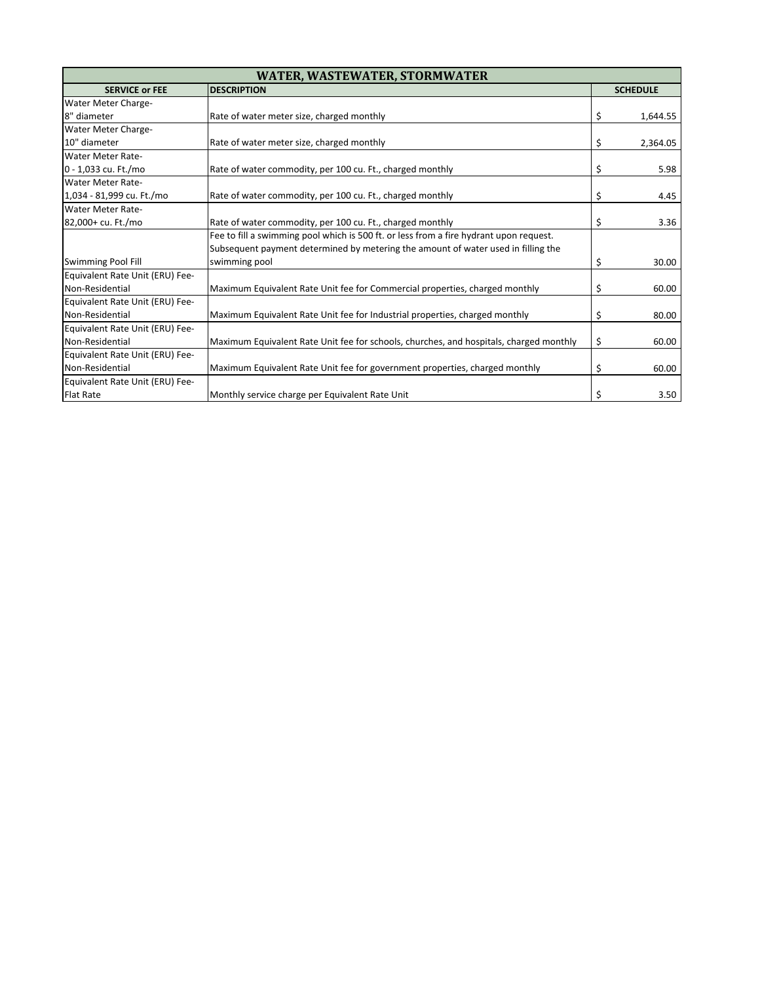| <b>WATER, WASTEWATER, STORMWATER</b> |                                                                                        |    |                 |
|--------------------------------------|----------------------------------------------------------------------------------------|----|-----------------|
| <b>SERVICE or FEE</b>                | <b>DESCRIPTION</b>                                                                     |    | <b>SCHEDULE</b> |
| Water Meter Charge-                  |                                                                                        |    |                 |
| 8" diameter                          | Rate of water meter size, charged monthly                                              | \$ | 1,644.55        |
| Water Meter Charge-                  |                                                                                        |    |                 |
| 10" diameter                         | Rate of water meter size, charged monthly                                              | \$ | 2,364.05        |
| <b>Water Meter Rate-</b>             |                                                                                        |    |                 |
| 0 - 1,033 cu. Ft./mo                 | Rate of water commodity, per 100 cu. Ft., charged monthly                              | \$ | 5.98            |
| Water Meter Rate-                    |                                                                                        |    |                 |
| 1,034 - 81,999 cu. Ft./mo            | Rate of water commodity, per 100 cu. Ft., charged monthly                              | \$ | 4.45            |
| <b>Water Meter Rate-</b>             |                                                                                        |    |                 |
| 82,000+ cu. Ft./mo                   | Rate of water commodity, per 100 cu. Ft., charged monthly                              | \$ | 3.36            |
|                                      | Fee to fill a swimming pool which is 500 ft. or less from a fire hydrant upon request. |    |                 |
|                                      | Subsequent payment determined by metering the amount of water used in filling the      |    |                 |
| <b>Swimming Pool Fill</b>            | swimming pool                                                                          | \$ | 30.00           |
| Equivalent Rate Unit (ERU) Fee-      |                                                                                        |    |                 |
| Non-Residential                      | Maximum Equivalent Rate Unit fee for Commercial properties, charged monthly            | \$ | 60.00           |
| Equivalent Rate Unit (ERU) Fee-      |                                                                                        |    |                 |
| Non-Residential                      | Maximum Equivalent Rate Unit fee for Industrial properties, charged monthly            | \$ | 80.00           |
| Equivalent Rate Unit (ERU) Fee-      |                                                                                        |    |                 |
| Non-Residential                      | Maximum Equivalent Rate Unit fee for schools, churches, and hospitals, charged monthly | \$ | 60.00           |
| Equivalent Rate Unit (ERU) Fee-      |                                                                                        |    |                 |
| Non-Residential                      | Maximum Equivalent Rate Unit fee for government properties, charged monthly            | \$ | 60.00           |
| Equivalent Rate Unit (ERU) Fee-      |                                                                                        |    |                 |
| <b>Flat Rate</b>                     | Monthly service charge per Equivalent Rate Unit                                        | \$ | 3.50            |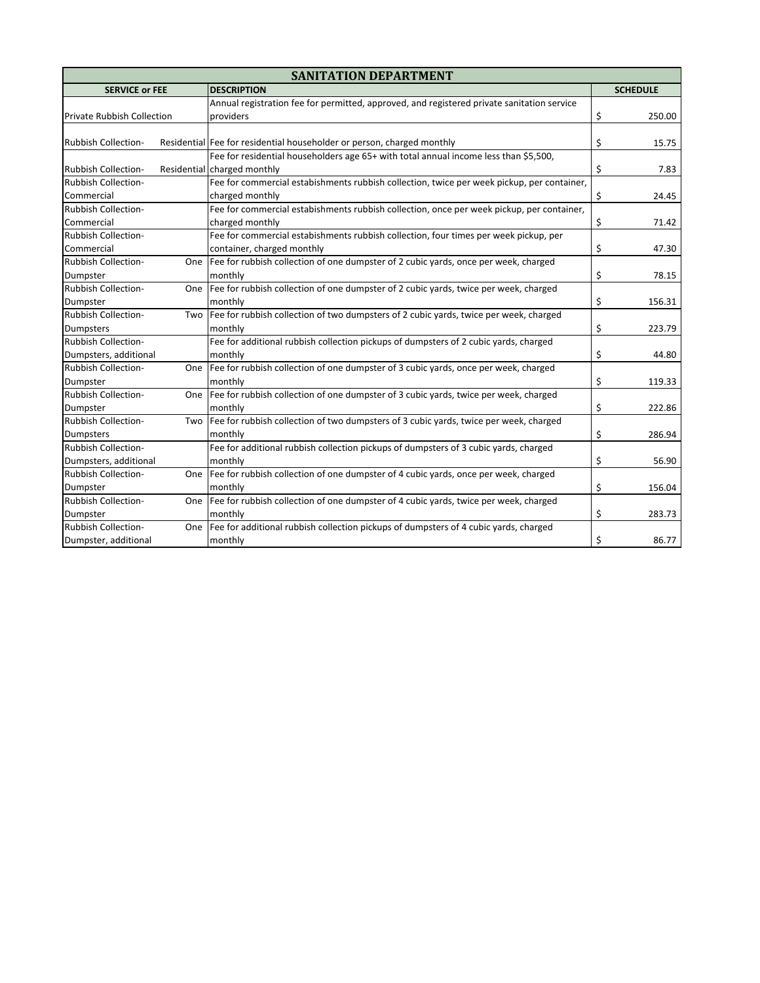| <b>SANITATION DEPARTMENT</b>                |      |                                                                                            |    |                 |  |
|---------------------------------------------|------|--------------------------------------------------------------------------------------------|----|-----------------|--|
| <b>DESCRIPTION</b><br><b>SERVICE or FEE</b> |      |                                                                                            |    | <b>SCHEDULE</b> |  |
|                                             |      | Annual registration fee for permitted, approved, and registered private sanitation service |    |                 |  |
| Private Rubbish Collection                  |      | providers                                                                                  | \$ | 250.00          |  |
|                                             |      |                                                                                            |    |                 |  |
| <b>Rubbish Collection-</b>                  |      | Residential Fee for residential householder or person, charged monthly                     | \$ | 15.75           |  |
|                                             |      | Fee for residential householders age 65+ with total annual income less than \$5,500,       |    |                 |  |
| <b>Rubbish Collection-</b>                  |      | Residential charged monthly                                                                | \$ | 7.83            |  |
| <b>Rubbish Collection-</b>                  |      | Fee for commercial estabishments rubbish collection, twice per week pickup, per container, |    |                 |  |
| Commercial                                  |      | charged monthly                                                                            | \$ | 24.45           |  |
| <b>Rubbish Collection-</b>                  |      | Fee for commercial estabishments rubbish collection, once per week pickup, per container,  |    |                 |  |
| Commercial                                  |      | charged monthly                                                                            | \$ | 71.42           |  |
| <b>Rubbish Collection-</b>                  |      | Fee for commercial estabishments rubbish collection, four times per week pickup, per       |    |                 |  |
| Commercial                                  |      | container, charged monthly                                                                 | \$ | 47.30           |  |
| <b>Rubbish Collection-</b>                  | One  | Fee for rubbish collection of one dumpster of 2 cubic yards, once per week, charged        |    |                 |  |
| Dumpster                                    |      | monthly                                                                                    | \$ | 78.15           |  |
| <b>Rubbish Collection-</b>                  | One  | Fee for rubbish collection of one dumpster of 2 cubic vards, twice per week, charged       |    |                 |  |
| Dumpster                                    |      | monthly                                                                                    | \$ | 156.31          |  |
| <b>Rubbish Collection-</b>                  | Two  | Fee for rubbish collection of two dumpsters of 2 cubic yards, twice per week, charged      |    |                 |  |
| <b>Dumpsters</b>                            |      | monthly                                                                                    | \$ | 223.79          |  |
| Rubbish Collection-                         |      | Fee for additional rubbish collection pickups of dumpsters of 2 cubic yards, charged       |    |                 |  |
| Dumpsters, additional                       |      | monthly                                                                                    | \$ | 44.80           |  |
| <b>Rubbish Collection-</b>                  | One  | Fee for rubbish collection of one dumpster of 3 cubic yards, once per week, charged        |    |                 |  |
| Dumpster                                    |      | monthly                                                                                    | \$ | 119.33          |  |
| <b>Rubbish Collection-</b>                  | One. | Fee for rubbish collection of one dumpster of 3 cubic yards, twice per week, charged       |    |                 |  |
| Dumpster                                    |      | monthly                                                                                    | \$ | 222.86          |  |
| <b>Rubbish Collection-</b>                  | Two  | Fee for rubbish collection of two dumpsters of 3 cubic yards, twice per week, charged      |    |                 |  |
| <b>Dumpsters</b>                            |      | monthly                                                                                    | \$ | 286.94          |  |
| <b>Rubbish Collection-</b>                  |      | Fee for additional rubbish collection pickups of dumpsters of 3 cubic yards, charged       |    |                 |  |
| Dumpsters, additional                       |      | monthly                                                                                    | \$ | 56.90           |  |
| <b>Rubbish Collection-</b>                  | One  | Fee for rubbish collection of one dumpster of 4 cubic yards, once per week, charged        |    |                 |  |
| Dumpster                                    |      | monthly                                                                                    | \$ | 156.04          |  |
| <b>Rubbish Collection-</b>                  |      | One  Fee for rubbish collection of one dumpster of 4 cubic yards, twice per week, charged  |    |                 |  |
| Dumpster                                    |      | monthly                                                                                    | \$ | 283.73          |  |
| <b>Rubbish Collection-</b>                  |      | One Fee for additional rubbish collection pickups of dumpsters of 4 cubic yards, charged   |    |                 |  |
| Dumpster, additional                        |      | monthly                                                                                    | \$ | 86.77           |  |